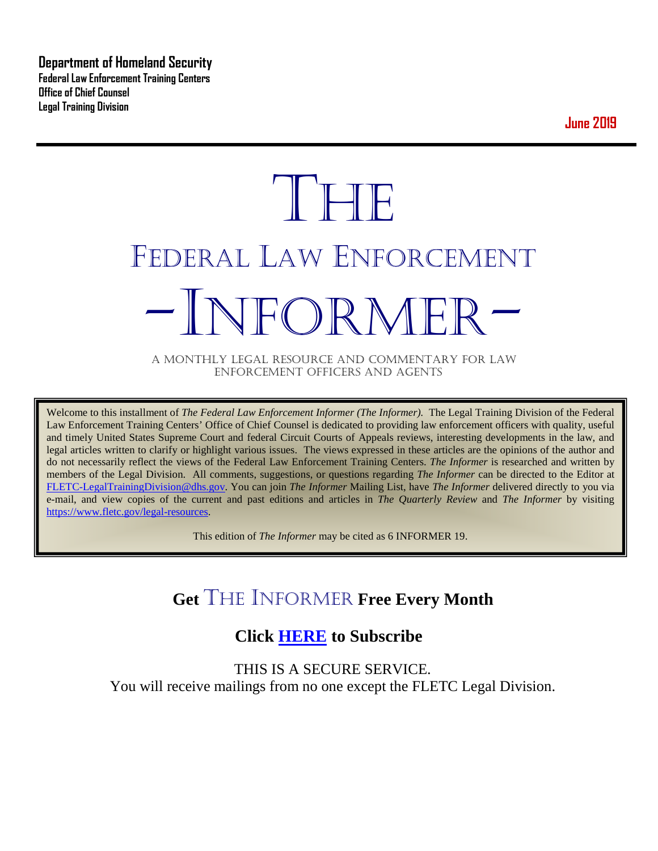**Department of Homeland Security Federal Law Enforcement Training Centers Office of Chief Counsel Legal Training Division** 

**June 2019**

# **THE** FEDERAL LAW ENFORCEMENT -INFORMER- A MONTHLY LEGAL RESOURCE AND COMMENTARY FOR LAW

ENFORCEMENT OFFICERS AND AGENTS

Welcome to this installment of *The Federal Law Enforcement Informer (The Informer).* The Legal Training Division of the Federal Law Enforcement Training Centers' Office of Chief Counsel is dedicated to providing law enforcement officers with quality, useful and timely United States Supreme Court and federal Circuit Courts of Appeals reviews, interesting developments in the law, and legal articles written to clarify or highlight various issues. The views expressed in these articles are the opinions of the author and do not necessarily reflect the views of the Federal Law Enforcement Training Centers. *The Informer* is researched and written by members of the Legal Division. All comments, suggestions, or questions regarding *The Informer* can be directed to the Editor at [FLETC-LegalTrainingDivision@dhs.gov.](mailto:FLETC-LegalTrainingDivision@dhs.gov) You can join *The Informer* Mailing List, have *The Informer* delivered directly to you via e-mail, and view copies of the current and past editions and articles in *The Quarterly Review* and *The Informer* by visiting [https://www.fletc.gov/legal-resources.](https://www.fletc.gov/legal-resources)

This edition of *The Informer* may be cited as 6 INFORMER 19.

# **Get** THE INFORMER **Free Every Month**

# **Click [HERE](https://app.co-sender.com/opt-in/list/7b007eab-378b-4542-807f-44d6de94cb7e) to Subscribe**

THIS IS A SECURE SERVICE. You will receive mailings from no one except the FLETC Legal Division.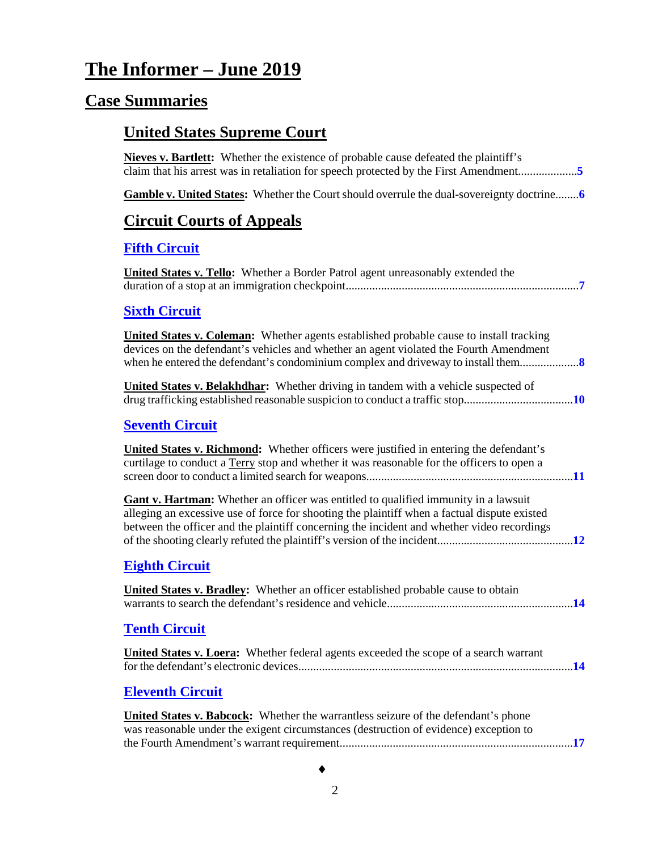# **The Informer – June 2019**

# **Case Summaries**

# **United States Supreme Court**

| <b>Nieves v. Bartlett:</b> Whether the existence of probable cause defeated the plaintiff's<br>claim that his arrest was in retaliation for speech protected by the First Amendment5                                                                                                     |
|------------------------------------------------------------------------------------------------------------------------------------------------------------------------------------------------------------------------------------------------------------------------------------------|
| Gamble v. United States: Whether the Court should overrule the dual-sovereignty doctrine 6                                                                                                                                                                                               |
| <b>Circuit Courts of Appeals</b>                                                                                                                                                                                                                                                         |
| <b>Fifth Circuit</b>                                                                                                                                                                                                                                                                     |
| United States v. Tello: Whether a Border Patrol agent unreasonably extended the                                                                                                                                                                                                          |
| <b>Sixth Circuit</b>                                                                                                                                                                                                                                                                     |
| <b>United States v. Coleman:</b> Whether agents established probable cause to install tracking<br>devices on the defendant's vehicles and whether an agent violated the Fourth Amendment                                                                                                 |
| <b>United States v. Belakhdhar:</b> Whether driving in tandem with a vehicle suspected of                                                                                                                                                                                                |
| <b>Seventh Circuit</b>                                                                                                                                                                                                                                                                   |
| <b>United States v. Richmond:</b> Whether officers were justified in entering the defendant's<br>curtilage to conduct a Terry stop and whether it was reasonable for the officers to open a                                                                                              |
| <b>Gant v. Hartman:</b> Whether an officer was entitled to qualified immunity in a lawsuit<br>alleging an excessive use of force for shooting the plaintiff when a factual dispute existed<br>between the officer and the plaintiff concerning the incident and whether video recordings |
| <b>Eighth Circuit</b>                                                                                                                                                                                                                                                                    |
| <b>United States v. Bradley:</b> Whether an officer established probable cause to obtain                                                                                                                                                                                                 |
| <b>Tenth Circuit</b>                                                                                                                                                                                                                                                                     |
| <b>United States v. Loera:</b> Whether federal agents exceeded the scope of a search warrant                                                                                                                                                                                             |
| <b>Eleventh Circuit</b>                                                                                                                                                                                                                                                                  |
| <b>United States v. Babcock:</b> Whether the warrantless seizure of the defendant's phone<br>was reasonable under the exigent circumstances (destruction of evidence) exception to                                                                                                       |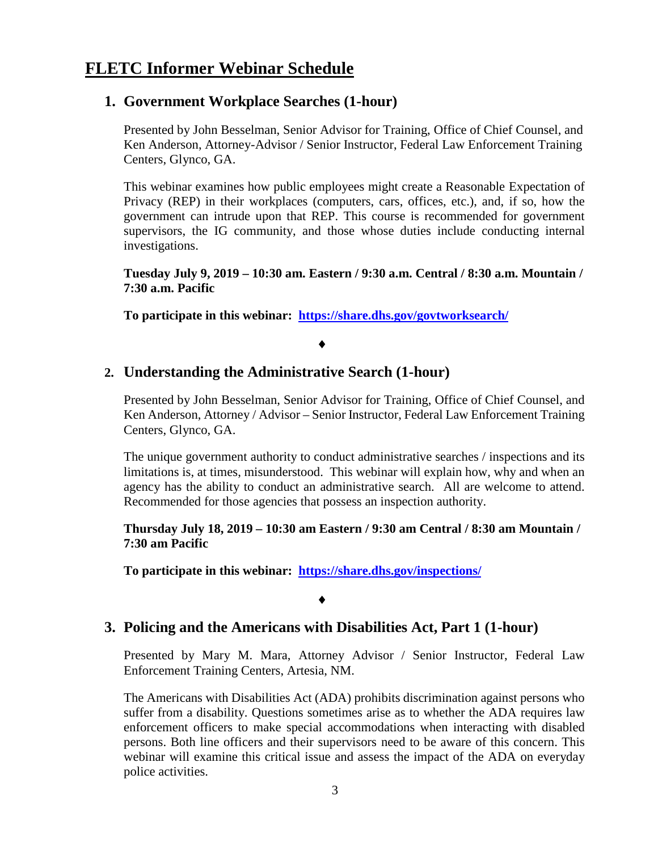### **FLETC Informer Webinar Schedule**

### **1. Government Workplace Searches (1-hour)**

Presented by John Besselman, Senior Advisor for Training, Office of Chief Counsel, and Ken Anderson, Attorney-Advisor / Senior Instructor, Federal Law Enforcement Training Centers, Glynco, GA.

This webinar examines how public employees might create a Reasonable Expectation of Privacy (REP) in their workplaces (computers, cars, offices, etc.), and, if so, how the government can intrude upon that REP. This course is recommended for government supervisors, the IG community, and those whose duties include conducting internal investigations.

**Tuesday July 9, 2019 – 10:30 am. Eastern / 9:30 a.m. Central / 8:30 a.m. Mountain / 7:30 a.m. Pacific**

**To participate in this webinar: <https://share.dhs.gov/govtworksearch/>**

♦

### **2. Understanding the Administrative Search (1-hour)**

Presented by John Besselman, Senior Advisor for Training, Office of Chief Counsel, and Ken Anderson, Attorney / Advisor – Senior Instructor, Federal Law Enforcement Training Centers, Glynco, GA.

The unique government authority to conduct administrative searches / inspections and its limitations is, at times, misunderstood. This webinar will explain how, why and when an agency has the ability to conduct an administrative search. All are welcome to attend. Recommended for those agencies that possess an inspection authority.

**Thursday July 18, 2019 – 10:30 am Eastern / 9:30 am Central / 8:30 am Mountain / 7:30 am Pacific**

**To participate in this webinar: <https://share.dhs.gov/inspections/>**

#### ♦

### **3. Policing and the Americans with Disabilities Act, Part 1 (1-hour)**

Presented by Mary M. Mara, Attorney Advisor / Senior Instructor, Federal Law Enforcement Training Centers, Artesia, NM.

The Americans with Disabilities Act (ADA) prohibits discrimination against persons who suffer from a disability. Questions sometimes arise as to whether the ADA requires law enforcement officers to make special accommodations when interacting with disabled persons. Both line officers and their supervisors need to be aware of this concern. This webinar will examine this critical issue and assess the impact of the ADA on everyday police activities.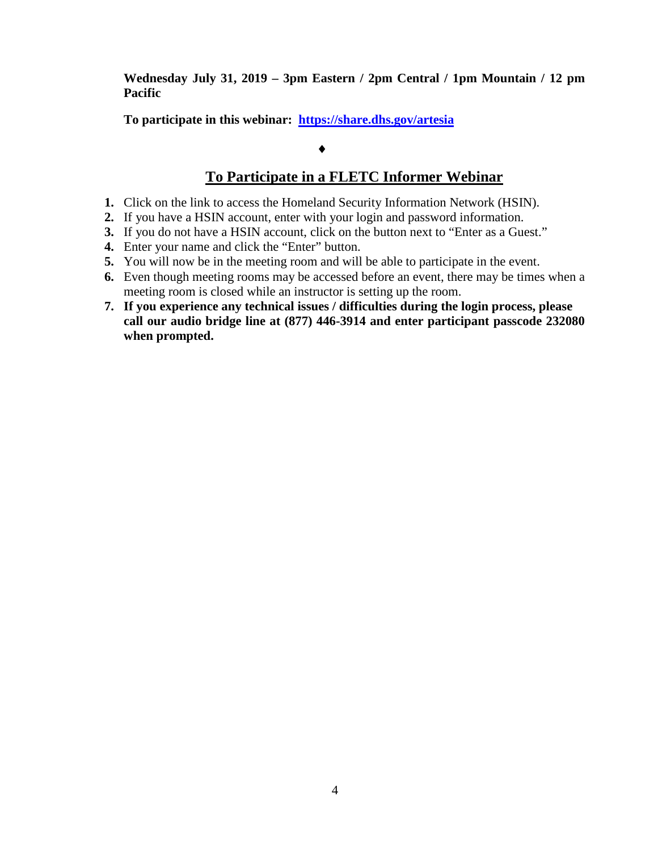**Wednesday July 31, 2019 – 3pm Eastern / 2pm Central / 1pm Mountain / 12 pm Pacific**

**To participate in this webinar: <https://share.dhs.gov/artesia>**

### ♦

### **To Participate in a FLETC Informer Webinar**

- **1.** Click on the link to access the Homeland Security Information Network (HSIN).
- **2.** If you have a HSIN account, enter with your login and password information.
- **3.** If you do not have a HSIN account, click on the button next to "Enter as a Guest."
- **4.** Enter your name and click the "Enter" button.
- **5.** You will now be in the meeting room and will be able to participate in the event.
- **6.** Even though meeting rooms may be accessed before an event, there may be times when a meeting room is closed while an instructor is setting up the room.
- **7. If you experience any technical issues / difficulties during the login process, please call our audio bridge line at (877) 446-3914 and enter participant passcode 232080 when prompted.**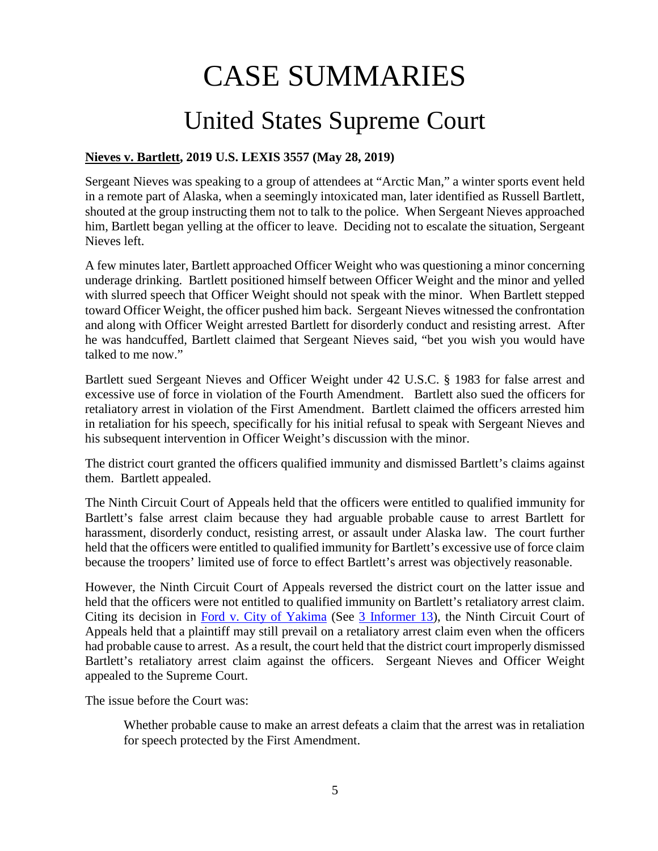# CASE SUMMARIES

# United States Supreme Court

### <span id="page-4-1"></span><span id="page-4-0"></span>**Nieves v. Bartlett, 2019 U.S. LEXIS 3557 (May 28, 2019)**

Sergeant Nieves was speaking to a group of attendees at "Arctic Man," a winter sports event held in a remote part of Alaska, when a seemingly intoxicated man, later identified as Russell Bartlett, shouted at the group instructing them not to talk to the police. When Sergeant Nieves approached him, Bartlett began yelling at the officer to leave. Deciding not to escalate the situation, Sergeant Nieves left.

A few minutes later, Bartlett approached Officer Weight who was questioning a minor concerning underage drinking. Bartlett positioned himself between Officer Weight and the minor and yelled with slurred speech that Officer Weight should not speak with the minor. When Bartlett stepped toward Officer Weight, the officer pushed him back. Sergeant Nieves witnessed the confrontation and along with Officer Weight arrested Bartlett for disorderly conduct and resisting arrest. After he was handcuffed, Bartlett claimed that Sergeant Nieves said, "bet you wish you would have talked to me now."

Bartlett sued Sergeant Nieves and Officer Weight under 42 U.S.C. § 1983 for false arrest and excessive use of force in violation of the Fourth Amendment. Bartlett also sued the officers for retaliatory arrest in violation of the First Amendment. Bartlett claimed the officers arrested him in retaliation for his speech, specifically for his initial refusal to speak with Sergeant Nieves and his subsequent intervention in Officer Weight's discussion with the minor.

The district court granted the officers qualified immunity and dismissed Bartlett's claims against them. Bartlett appealed.

The Ninth Circuit Court of Appeals held that the officers were entitled to qualified immunity for Bartlett's false arrest claim because they had arguable probable cause to arrest Bartlett for harassment, disorderly conduct, resisting arrest, or assault under Alaska law. The court further held that the officers were entitled to qualified immunity for Bartlett's excessive use of force claim because the troopers' limited use of force to effect Bartlett's arrest was objectively reasonable.

However, the Ninth Circuit Court of Appeals reversed the district court on the latter issue and held that the officers were not entitled to qualified immunity on Bartlett's retaliatory arrest claim. Citing its decision in [Ford v. City of Yakima](https://cases.justia.com/federal/appellate-courts/ca9/11-35319/11-35319-2013-02-08.pdf) (See [3 Informer 13\)](https://www.fletc.gov/sites/default/files/imported_files/training/programs/legal-division/the-informer/informer-editions-2013/3Informer13.pdf), the Ninth Circuit Court of Appeals held that a plaintiff may still prevail on a retaliatory arrest claim even when the officers had probable cause to arrest. As a result, the court held that the district court improperly dismissed Bartlett's retaliatory arrest claim against the officers. Sergeant Nieves and Officer Weight appealed to the Supreme Court.

The issue before the Court was:

Whether probable cause to make an arrest defeats a claim that the arrest was in retaliation for speech protected by the First Amendment.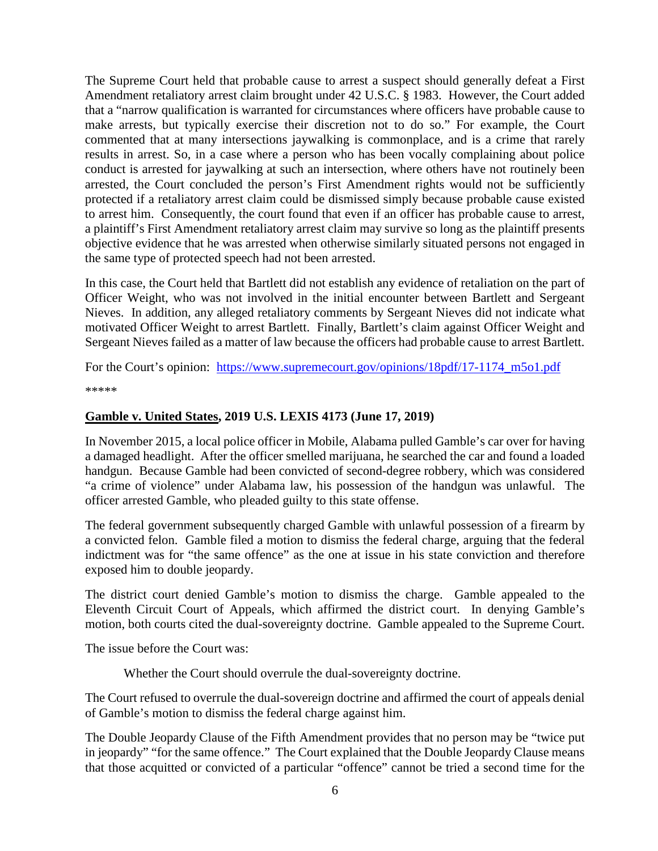The Supreme Court held that probable cause to arrest a suspect should generally defeat a First Amendment retaliatory arrest claim brought under 42 U.S.C. § 1983. However, the Court added that a "narrow qualification is warranted for circumstances where officers have probable cause to make arrests, but typically exercise their discretion not to do so." For example, the Court commented that at many intersections jaywalking is commonplace, and is a crime that rarely results in arrest. So, in a case where a person who has been vocally complaining about police conduct is arrested for jaywalking at such an intersection, where others have not routinely been arrested, the Court concluded the person's First Amendment rights would not be sufficiently protected if a retaliatory arrest claim could be dismissed simply because probable cause existed to arrest him. Consequently, the court found that even if an officer has probable cause to arrest, a plaintiff's First Amendment retaliatory arrest claim may survive so long as the plaintiff presents objective evidence that he was arrested when otherwise similarly situated persons not engaged in the same type of protected speech had not been arrested.

In this case, the Court held that Bartlett did not establish any evidence of retaliation on the part of Officer Weight, who was not involved in the initial encounter between Bartlett and Sergeant Nieves. In addition, any alleged retaliatory comments by Sergeant Nieves did not indicate what motivated Officer Weight to arrest Bartlett. Finally, Bartlett's claim against Officer Weight and Sergeant Nieves failed as a matter of law because the officers had probable cause to arrest Bartlett.

For the Court's opinion: [https://www.supremecourt.gov/opinions/18pdf/17-1174\\_m5o1.pdf](https://www.supremecourt.gov/opinions/18pdf/17-1174_m5o1.pdf)

\*\*\*\*\*

#### <span id="page-5-0"></span>**Gamble v. United States, 2019 U.S. LEXIS 4173 (June 17, 2019)**

In November 2015, a local police officer in Mobile, Alabama pulled Gamble's car over for having a damaged headlight. After the officer smelled marijuana, he searched the car and found a loaded handgun. Because Gamble had been convicted of second-degree robbery, which was considered "a crime of violence" under Alabama law, his possession of the handgun was unlawful. The officer arrested Gamble, who pleaded guilty to this state offense.

The federal government subsequently charged Gamble with unlawful possession of a firearm by a convicted felon. Gamble filed a motion to dismiss the federal charge, arguing that the federal indictment was for "the same offence" as the one at issue in his state conviction and therefore exposed him to double jeopardy.

The district court denied Gamble's motion to dismiss the charge. Gamble appealed to the Eleventh Circuit Court of Appeals, which affirmed the district court. In denying Gamble's motion, both courts cited the dual-sovereignty doctrine. Gamble appealed to the Supreme Court.

The issue before the Court was:

Whether the Court should overrule the dual-sovereignty doctrine.

The Court refused to overrule the dual-sovereign doctrine and affirmed the court of appeals denial of Gamble's motion to dismiss the federal charge against him.

The Double Jeopardy Clause of the Fifth Amendment provides that no person may be "twice put in jeopardy" "for the same offence." The Court explained that the Double Jeopardy Clause means that those acquitted or convicted of a particular "offence" cannot be tried a second time for the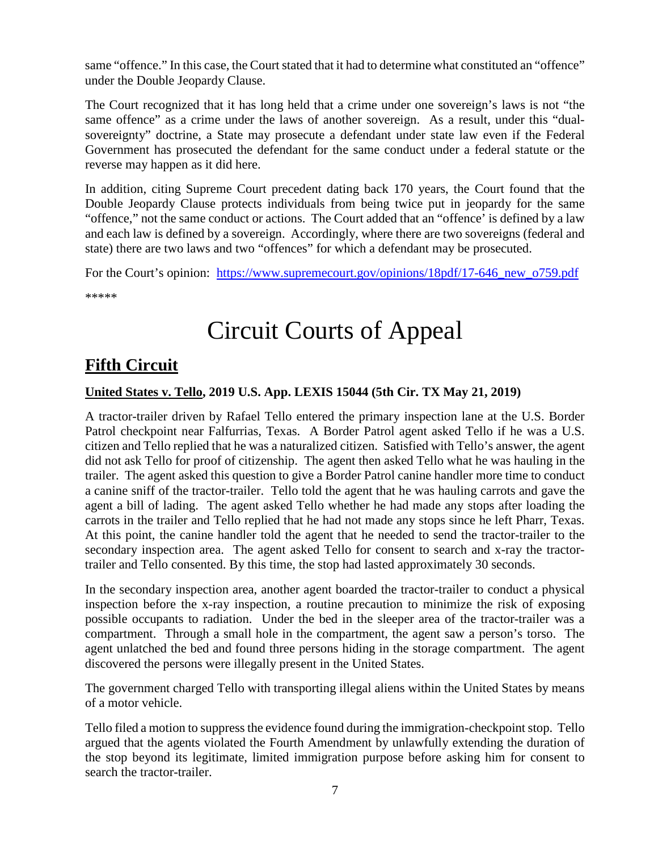same "offence." In this case, the Court stated that it had to determine what constituted an "offence" under the Double Jeopardy Clause.

The Court recognized that it has long held that a crime under one sovereign's laws is not "the same offence" as a crime under the laws of another sovereign. As a result, under this "dualsovereignty" doctrine, a State may prosecute a defendant under state law even if the Federal Government has prosecuted the defendant for the same conduct under a federal statute or the reverse may happen as it did here.

In addition, citing Supreme Court precedent dating back 170 years, the Court found that the Double Jeopardy Clause protects individuals from being twice put in jeopardy for the same "offence," not the same conduct or actions. The Court added that an "offence' is defined by a law and each law is defined by a sovereign. Accordingly, where there are two sovereigns (federal and state) there are two laws and two "offences" for which a defendant may be prosecuted.

For the Court's opinion: https://www.supremecourt.gov/opinions/18pdf/17-646 new o759.pdf

\*\*\*\*\*

# Circuit Courts of Appeal

# <span id="page-6-0"></span>**Fifth Circuit**

### <span id="page-6-1"></span>**United States v. Tello, 2019 U.S. App. LEXIS 15044 (5th Cir. TX May 21, 2019)**

A tractor-trailer driven by Rafael Tello entered the primary inspection lane at the U.S. Border Patrol checkpoint near Falfurrias, Texas. A Border Patrol agent asked Tello if he was a U.S. citizen and Tello replied that he was a naturalized citizen. Satisfied with Tello's answer, the agent did not ask Tello for proof of citizenship. The agent then asked Tello what he was hauling in the trailer. The agent asked this question to give a Border Patrol canine handler more time to conduct a canine sniff of the tractor-trailer. Tello told the agent that he was hauling carrots and gave the agent a bill of lading. The agent asked Tello whether he had made any stops after loading the carrots in the trailer and Tello replied that he had not made any stops since he left Pharr, Texas. At this point, the canine handler told the agent that he needed to send the tractor-trailer to the secondary inspection area. The agent asked Tello for consent to search and x-ray the tractortrailer and Tello consented. By this time, the stop had lasted approximately 30 seconds.

In the secondary inspection area, another agent boarded the tractor-trailer to conduct a physical inspection before the x-ray inspection, a routine precaution to minimize the risk of exposing possible occupants to radiation. Under the bed in the sleeper area of the tractor-trailer was a compartment. Through a small hole in the compartment, the agent saw a person's torso. The agent unlatched the bed and found three persons hiding in the storage compartment. The agent discovered the persons were illegally present in the United States.

The government charged Tello with transporting illegal aliens within the United States by means of a motor vehicle.

Tello filed a motion to suppress the evidence found during the immigration-checkpoint stop. Tello argued that the agents violated the Fourth Amendment by unlawfully extending the duration of the stop beyond its legitimate, limited immigration purpose before asking him for consent to search the tractor-trailer.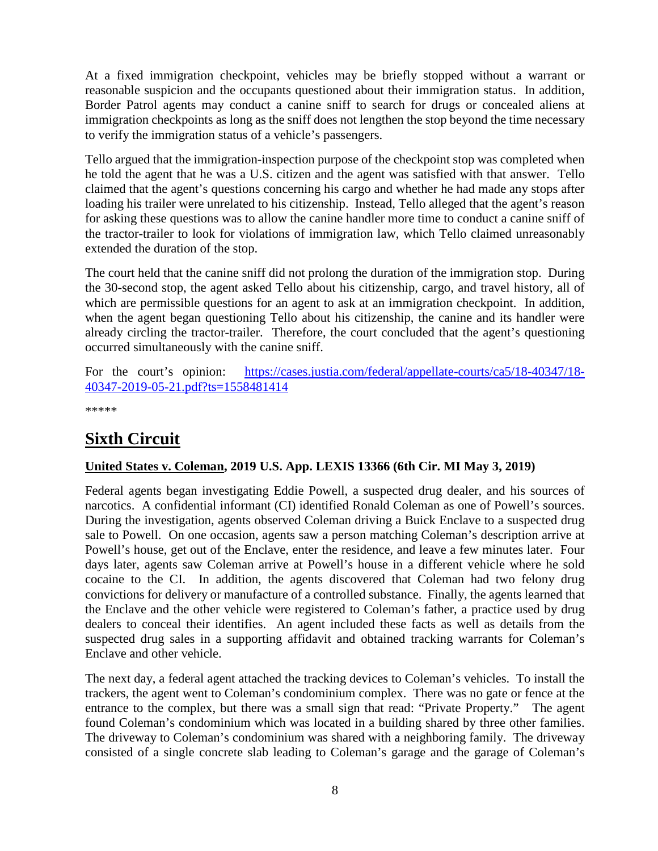At a fixed immigration checkpoint, vehicles may be briefly stopped without a warrant or reasonable suspicion and the occupants questioned about their immigration status. In addition, Border Patrol agents may conduct a canine sniff to search for drugs or concealed aliens at immigration checkpoints as long as the sniff does not lengthen the stop beyond the time necessary to verify the immigration status of a vehicle's passengers.

Tello argued that the immigration-inspection purpose of the checkpoint stop was completed when he told the agent that he was a U.S. citizen and the agent was satisfied with that answer. Tello claimed that the agent's questions concerning his cargo and whether he had made any stops after loading his trailer were unrelated to his citizenship. Instead, Tello alleged that the agent's reason for asking these questions was to allow the canine handler more time to conduct a canine sniff of the tractor-trailer to look for violations of immigration law, which Tello claimed unreasonably extended the duration of the stop.

The court held that the canine sniff did not prolong the duration of the immigration stop. During the 30-second stop, the agent asked Tello about his citizenship, cargo, and travel history, all of which are permissible questions for an agent to ask at an immigration checkpoint. In addition, when the agent began questioning Tello about his citizenship, the canine and its handler were already circling the tractor-trailer. Therefore, the court concluded that the agent's questioning occurred simultaneously with the canine sniff.

For the court's opinion: [https://cases.justia.com/federal/appellate-courts/ca5/18-40347/18-](https://cases.justia.com/federal/appellate-courts/ca5/18-40347/18-40347-2019-05-21.pdf?ts=1558481414) [40347-2019-05-21.pdf?ts=1558481414](https://cases.justia.com/federal/appellate-courts/ca5/18-40347/18-40347-2019-05-21.pdf?ts=1558481414)

\*\*\*\*\*

# <span id="page-7-0"></span>**Sixth Circuit**

### <span id="page-7-1"></span>**United States v. Coleman, 2019 U.S. App. LEXIS 13366 (6th Cir. MI May 3, 2019)**

Federal agents began investigating Eddie Powell, a suspected drug dealer, and his sources of narcotics. A confidential informant (CI) identified Ronald Coleman as one of Powell's sources. During the investigation, agents observed Coleman driving a Buick Enclave to a suspected drug sale to Powell. On one occasion, agents saw a person matching Coleman's description arrive at Powell's house, get out of the Enclave, enter the residence, and leave a few minutes later. Four days later, agents saw Coleman arrive at Powell's house in a different vehicle where he sold cocaine to the CI. In addition, the agents discovered that Coleman had two felony drug convictions for delivery or manufacture of a controlled substance. Finally, the agents learned that the Enclave and the other vehicle were registered to Coleman's father, a practice used by drug dealers to conceal their identifies. An agent included these facts as well as details from the suspected drug sales in a supporting affidavit and obtained tracking warrants for Coleman's Enclave and other vehicle.

The next day, a federal agent attached the tracking devices to Coleman's vehicles. To install the trackers, the agent went to Coleman's condominium complex. There was no gate or fence at the entrance to the complex, but there was a small sign that read: "Private Property." The agent found Coleman's condominium which was located in a building shared by three other families. The driveway to Coleman's condominium was shared with a neighboring family. The driveway consisted of a single concrete slab leading to Coleman's garage and the garage of Coleman's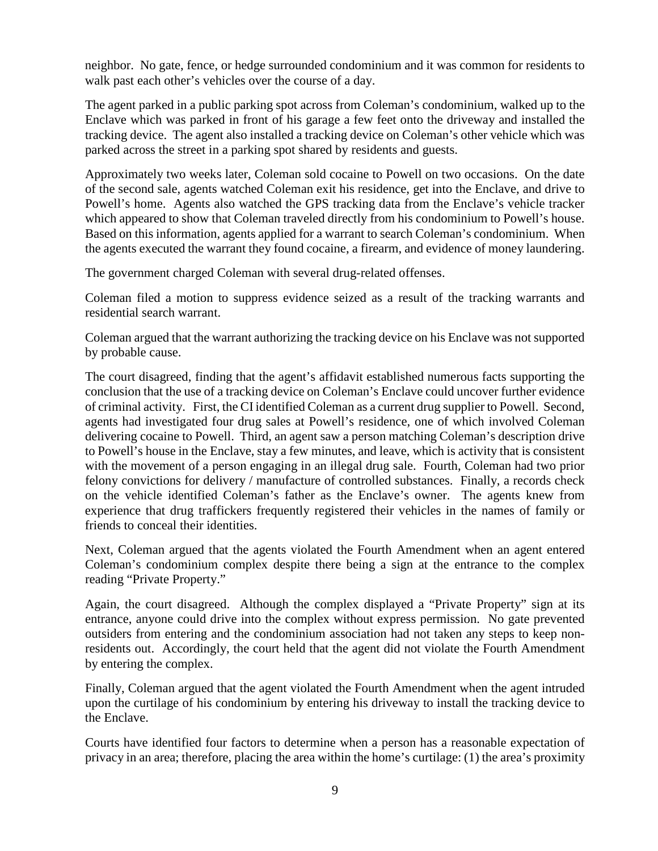neighbor. No gate, fence, or hedge surrounded condominium and it was common for residents to walk past each other's vehicles over the course of a day.

The agent parked in a public parking spot across from Coleman's condominium, walked up to the Enclave which was parked in front of his garage a few feet onto the driveway and installed the tracking device. The agent also installed a tracking device on Coleman's other vehicle which was parked across the street in a parking spot shared by residents and guests.

Approximately two weeks later, Coleman sold cocaine to Powell on two occasions. On the date of the second sale, agents watched Coleman exit his residence, get into the Enclave, and drive to Powell's home. Agents also watched the GPS tracking data from the Enclave's vehicle tracker which appeared to show that Coleman traveled directly from his condominium to Powell's house. Based on this information, agents applied for a warrant to search Coleman's condominium. When the agents executed the warrant they found cocaine, a firearm, and evidence of money laundering.

The government charged Coleman with several drug-related offenses.

Coleman filed a motion to suppress evidence seized as a result of the tracking warrants and residential search warrant.

Coleman argued that the warrant authorizing the tracking device on his Enclave was not supported by probable cause.

The court disagreed, finding that the agent's affidavit established numerous facts supporting the conclusion that the use of a tracking device on Coleman's Enclave could uncover further evidence of criminal activity. First, the CI identified Coleman as a current drug supplier to Powell. Second, agents had investigated four drug sales at Powell's residence, one of which involved Coleman delivering cocaine to Powell. Third, an agent saw a person matching Coleman's description drive to Powell's house in the Enclave, stay a few minutes, and leave, which is activity that is consistent with the movement of a person engaging in an illegal drug sale. Fourth, Coleman had two prior felony convictions for delivery / manufacture of controlled substances. Finally, a records check on the vehicle identified Coleman's father as the Enclave's owner. The agents knew from experience that drug traffickers frequently registered their vehicles in the names of family or friends to conceal their identities.

Next, Coleman argued that the agents violated the Fourth Amendment when an agent entered Coleman's condominium complex despite there being a sign at the entrance to the complex reading "Private Property."

Again, the court disagreed. Although the complex displayed a "Private Property" sign at its entrance, anyone could drive into the complex without express permission. No gate prevented outsiders from entering and the condominium association had not taken any steps to keep nonresidents out. Accordingly, the court held that the agent did not violate the Fourth Amendment by entering the complex.

Finally, Coleman argued that the agent violated the Fourth Amendment when the agent intruded upon the curtilage of his condominium by entering his driveway to install the tracking device to the Enclave.

Courts have identified four factors to determine when a person has a reasonable expectation of privacy in an area; therefore, placing the area within the home's curtilage: (1) the area's proximity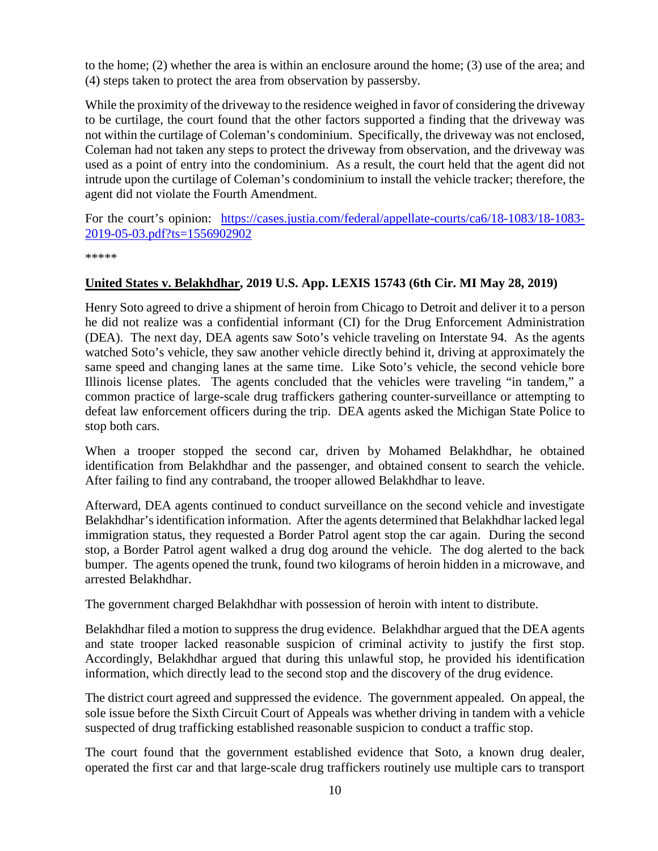to the home; (2) whether the area is within an enclosure around the home; (3) use of the area; and (4) steps taken to protect the area from observation by passersby.

While the proximity of the driveway to the residence weighed in favor of considering the driveway to be curtilage, the court found that the other factors supported a finding that the driveway was not within the curtilage of Coleman's condominium. Specifically, the driveway was not enclosed, Coleman had not taken any steps to protect the driveway from observation, and the driveway was used as a point of entry into the condominium. As a result, the court held that the agent did not intrude upon the curtilage of Coleman's condominium to install the vehicle tracker; therefore, the agent did not violate the Fourth Amendment.

For the court's opinion: [https://cases.justia.com/federal/appellate-courts/ca6/18-1083/18-1083-](https://cases.justia.com/federal/appellate-courts/ca6/18-1083/18-1083-2019-05-03.pdf?ts=1556902902) [2019-05-03.pdf?ts=1556902902](https://cases.justia.com/federal/appellate-courts/ca6/18-1083/18-1083-2019-05-03.pdf?ts=1556902902)

\*\*\*\*\*

#### <span id="page-9-0"></span>**United States v. Belakhdhar, 2019 U.S. App. LEXIS 15743 (6th Cir. MI May 28, 2019)**

Henry Soto agreed to drive a shipment of heroin from Chicago to Detroit and deliver it to a person he did not realize was a confidential informant (CI) for the Drug Enforcement Administration (DEA). The next day, DEA agents saw Soto's vehicle traveling on Interstate 94. As the agents watched Soto's vehicle, they saw another vehicle directly behind it, driving at approximately the same speed and changing lanes at the same time. Like Soto's vehicle, the second vehicle bore Illinois license plates. The agents concluded that the vehicles were traveling "in tandem," a common practice of large-scale drug traffickers gathering counter-surveillance or attempting to defeat law enforcement officers during the trip. DEA agents asked the Michigan State Police to stop both cars.

When a trooper stopped the second car, driven by Mohamed Belakhdhar, he obtained identification from Belakhdhar and the passenger, and obtained consent to search the vehicle. After failing to find any contraband, the trooper allowed Belakhdhar to leave.

Afterward, DEA agents continued to conduct surveillance on the second vehicle and investigate Belakhdhar's identification information. After the agents determined that Belakhdhar lacked legal immigration status, they requested a Border Patrol agent stop the car again. During the second stop, a Border Patrol agent walked a drug dog around the vehicle. The dog alerted to the back bumper. The agents opened the trunk, found two kilograms of heroin hidden in a microwave, and arrested Belakhdhar.

The government charged Belakhdhar with possession of heroin with intent to distribute.

Belakhdhar filed a motion to suppress the drug evidence. Belakhdhar argued that the DEA agents and state trooper lacked reasonable suspicion of criminal activity to justify the first stop. Accordingly, Belakhdhar argued that during this unlawful stop, he provided his identification information, which directly lead to the second stop and the discovery of the drug evidence.

The district court agreed and suppressed the evidence. The government appealed. On appeal, the sole issue before the Sixth Circuit Court of Appeals was whether driving in tandem with a vehicle suspected of drug trafficking established reasonable suspicion to conduct a traffic stop.

The court found that the government established evidence that Soto, a known drug dealer, operated the first car and that large-scale drug traffickers routinely use multiple cars to transport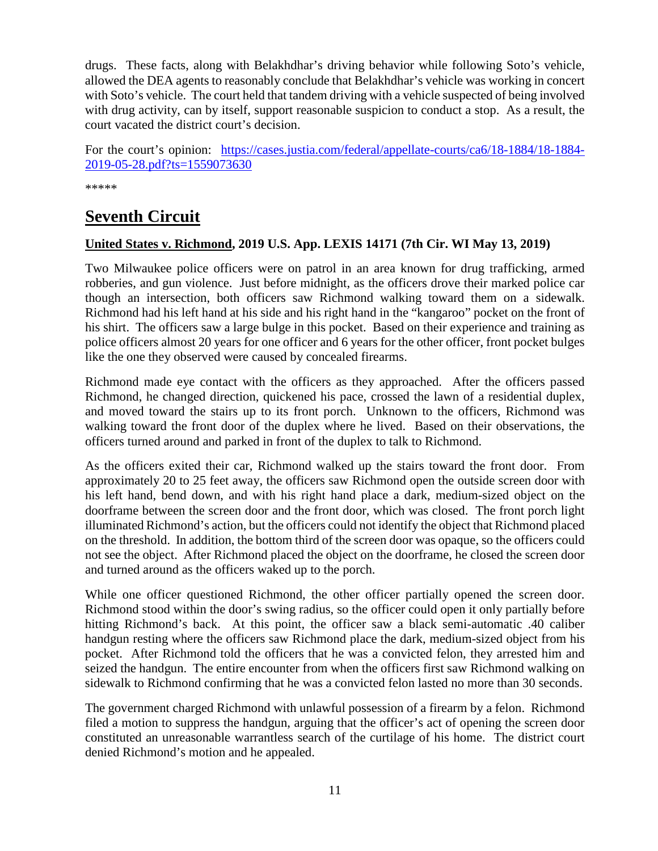drugs. These facts, along with Belakhdhar's driving behavior while following Soto's vehicle, allowed the DEA agents to reasonably conclude that Belakhdhar's vehicle was working in concert with Soto's vehicle. The court held that tandem driving with a vehicle suspected of being involved with drug activity, can by itself, support reasonable suspicion to conduct a stop. As a result, the court vacated the district court's decision.

For the court's opinion: [https://cases.justia.com/federal/appellate-courts/ca6/18-1884/18-1884-](https://cases.justia.com/federal/appellate-courts/ca6/18-1884/18-1884-2019-05-28.pdf?ts=1559073630) [2019-05-28.pdf?ts=1559073630](https://cases.justia.com/federal/appellate-courts/ca6/18-1884/18-1884-2019-05-28.pdf?ts=1559073630)

\*\*\*\*\*

### <span id="page-10-0"></span>**Seventh Circuit**

#### <span id="page-10-1"></span>**United States v. Richmond, 2019 U.S. App. LEXIS 14171 (7th Cir. WI May 13, 2019)**

Two Milwaukee police officers were on patrol in an area known for drug trafficking, armed robberies, and gun violence. Just before midnight, as the officers drove their marked police car though an intersection, both officers saw Richmond walking toward them on a sidewalk. Richmond had his left hand at his side and his right hand in the "kangaroo" pocket on the front of his shirt. The officers saw a large bulge in this pocket. Based on their experience and training as police officers almost 20 years for one officer and 6 years for the other officer, front pocket bulges like the one they observed were caused by concealed firearms.

Richmond made eye contact with the officers as they approached. After the officers passed Richmond, he changed direction, quickened his pace, crossed the lawn of a residential duplex, and moved toward the stairs up to its front porch. Unknown to the officers, Richmond was walking toward the front door of the duplex where he lived. Based on their observations, the officers turned around and parked in front of the duplex to talk to Richmond.

As the officers exited their car, Richmond walked up the stairs toward the front door. From approximately 20 to 25 feet away, the officers saw Richmond open the outside screen door with his left hand, bend down, and with his right hand place a dark, medium-sized object on the doorframe between the screen door and the front door, which was closed. The front porch light illuminated Richmond's action, but the officers could not identify the object that Richmond placed on the threshold. In addition, the bottom third of the screen door was opaque, so the officers could not see the object. After Richmond placed the object on the doorframe, he closed the screen door and turned around as the officers waked up to the porch.

While one officer questioned Richmond, the other officer partially opened the screen door. Richmond stood within the door's swing radius, so the officer could open it only partially before hitting Richmond's back. At this point, the officer saw a black semi-automatic .40 caliber handgun resting where the officers saw Richmond place the dark, medium-sized object from his pocket. After Richmond told the officers that he was a convicted felon, they arrested him and seized the handgun. The entire encounter from when the officers first saw Richmond walking on sidewalk to Richmond confirming that he was a convicted felon lasted no more than 30 seconds.

The government charged Richmond with unlawful possession of a firearm by a felon. Richmond filed a motion to suppress the handgun, arguing that the officer's act of opening the screen door constituted an unreasonable warrantless search of the curtilage of his home. The district court denied Richmond's motion and he appealed.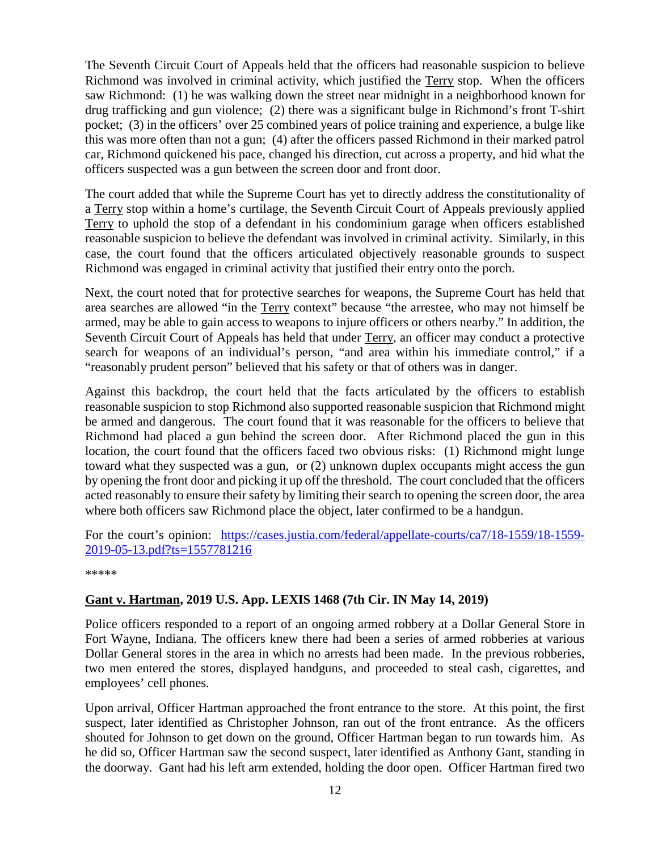The Seventh Circuit Court of Appeals held that the officers had reasonable suspicion to believe Richmond was involved in criminal activity, which justified the Terry stop. When the officers saw Richmond: (1) he was walking down the street near midnight in a neighborhood known for drug trafficking and gun violence; (2) there was a significant bulge in Richmond's front T-shirt pocket; (3) in the officers' over 25 combined years of police training and experience, a bulge like this was more often than not a gun; (4) after the officers passed Richmond in their marked patrol car, Richmond quickened his pace, changed his direction, cut across a property, and hid what the officers suspected was a gun between the screen door and front door.

The court added that while the Supreme Court has yet to directly address the constitutionality of a Terry stop within a home's curtilage, the Seventh Circuit Court of Appeals previously applied Terry to uphold the stop of a defendant in his condominium garage when officers established reasonable suspicion to believe the defendant was involved in criminal activity. Similarly, in this case, the court found that the officers articulated objectively reasonable grounds to suspect Richmond was engaged in criminal activity that justified their entry onto the porch.

Next, the court noted that for protective searches for weapons, the Supreme Court has held that area searches are allowed "in the Terry context" because "the arrestee, who may not himself be armed, may be able to gain access to weapons to injure officers or others nearby." In addition, the Seventh Circuit Court of Appeals has held that under Terry, an officer may conduct a protective search for weapons of an individual's person, "and area within his immediate control," if a "reasonably prudent person" believed that his safety or that of others was in danger.

Against this backdrop, the court held that the facts articulated by the officers to establish reasonable suspicion to stop Richmond also supported reasonable suspicion that Richmond might be armed and dangerous. The court found that it was reasonable for the officers to believe that Richmond had placed a gun behind the screen door. After Richmond placed the gun in this location, the court found that the officers faced two obvious risks: (1) Richmond might lunge toward what they suspected was a gun, or (2) unknown duplex occupants might access the gun by opening the front door and picking it up off the threshold. The court concluded that the officers acted reasonably to ensure their safety by limiting their search to opening the screen door, the area where both officers saw Richmond place the object, later confirmed to be a handgun.

For the court's opinion: [https://cases.justia.com/federal/appellate-courts/ca7/18-1559/18-1559-](https://cases.justia.com/federal/appellate-courts/ca7/18-1559/18-1559-2019-05-13.pdf?ts=1557781216) [2019-05-13.pdf?ts=1557781216](https://cases.justia.com/federal/appellate-courts/ca7/18-1559/18-1559-2019-05-13.pdf?ts=1557781216)

\*\*\*\*\*

### <span id="page-11-0"></span>**Gant v. Hartman, 2019 U.S. App. LEXIS 1468 (7th Cir. IN May 14, 2019)**

Police officers responded to a report of an ongoing armed robbery at a Dollar General Store in Fort Wayne, Indiana. The officers knew there had been a series of armed robberies at various Dollar General stores in the area in which no arrests had been made. In the previous robberies, two men entered the stores, displayed handguns, and proceeded to steal cash, cigarettes, and employees' cell phones.

Upon arrival, Officer Hartman approached the front entrance to the store. At this point, the first suspect, later identified as Christopher Johnson, ran out of the front entrance. As the officers shouted for Johnson to get down on the ground, Officer Hartman began to run towards him. As he did so, Officer Hartman saw the second suspect, later identified as Anthony Gant, standing in the doorway. Gant had his left arm extended, holding the door open. Officer Hartman fired two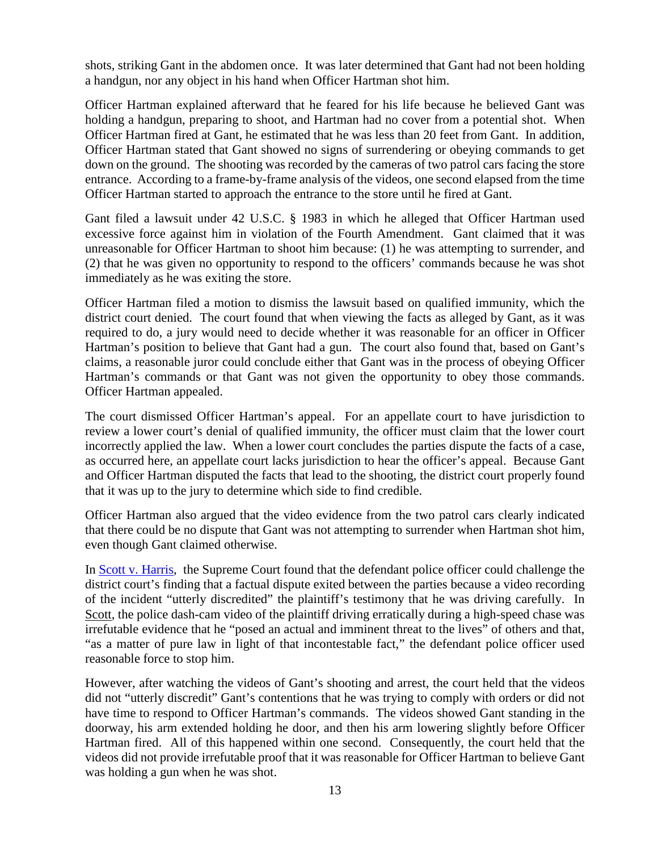shots, striking Gant in the abdomen once. It was later determined that Gant had not been holding a handgun, nor any object in his hand when Officer Hartman shot him.

Officer Hartman explained afterward that he feared for his life because he believed Gant was holding a handgun, preparing to shoot, and Hartman had no cover from a potential shot. When Officer Hartman fired at Gant, he estimated that he was less than 20 feet from Gant. In addition, Officer Hartman stated that Gant showed no signs of surrendering or obeying commands to get down on the ground. The shooting was recorded by the cameras of two patrol cars facing the store entrance. According to a frame-by-frame analysis of the videos, one second elapsed from the time Officer Hartman started to approach the entrance to the store until he fired at Gant.

Gant filed a lawsuit under 42 U.S.C. § 1983 in which he alleged that Officer Hartman used excessive force against him in violation of the Fourth Amendment. Gant claimed that it was unreasonable for Officer Hartman to shoot him because: (1) he was attempting to surrender, and (2) that he was given no opportunity to respond to the officers' commands because he was shot immediately as he was exiting the store.

Officer Hartman filed a motion to dismiss the lawsuit based on qualified immunity, which the district court denied. The court found that when viewing the facts as alleged by Gant, as it was required to do, a jury would need to decide whether it was reasonable for an officer in Officer Hartman's position to believe that Gant had a gun. The court also found that, based on Gant's claims, a reasonable juror could conclude either that Gant was in the process of obeying Officer Hartman's commands or that Gant was not given the opportunity to obey those commands. Officer Hartman appealed.

The court dismissed Officer Hartman's appeal. For an appellate court to have jurisdiction to review a lower court's denial of qualified immunity, the officer must claim that the lower court incorrectly applied the law. When a lower court concludes the parties dispute the facts of a case, as occurred here, an appellate court lacks jurisdiction to hear the officer's appeal. Because Gant and Officer Hartman disputed the facts that lead to the shooting, the district court properly found that it was up to the jury to determine which side to find credible.

Officer Hartman also argued that the video evidence from the two patrol cars clearly indicated that there could be no dispute that Gant was not attempting to surrender when Hartman shot him, even though Gant claimed otherwise.

In [Scott v. Harris,](https://supreme.justia.com/cases/federal/us/550/372/) the Supreme Court found that the defendant police officer could challenge the district court's finding that a factual dispute exited between the parties because a video recording of the incident "utterly discredited" the plaintiff's testimony that he was driving carefully. In Scott, the police dash-cam video of the plaintiff driving erratically during a high-speed chase was irrefutable evidence that he "posed an actual and imminent threat to the lives" of others and that, "as a matter of pure law in light of that incontestable fact," the defendant police officer used reasonable force to stop him.

However, after watching the videos of Gant's shooting and arrest, the court held that the videos did not "utterly discredit" Gant's contentions that he was trying to comply with orders or did not have time to respond to Officer Hartman's commands. The videos showed Gant standing in the doorway, his arm extended holding he door, and then his arm lowering slightly before Officer Hartman fired. All of this happened within one second. Consequently, the court held that the videos did not provide irrefutable proof that it was reasonable for Officer Hartman to believe Gant was holding a gun when he was shot.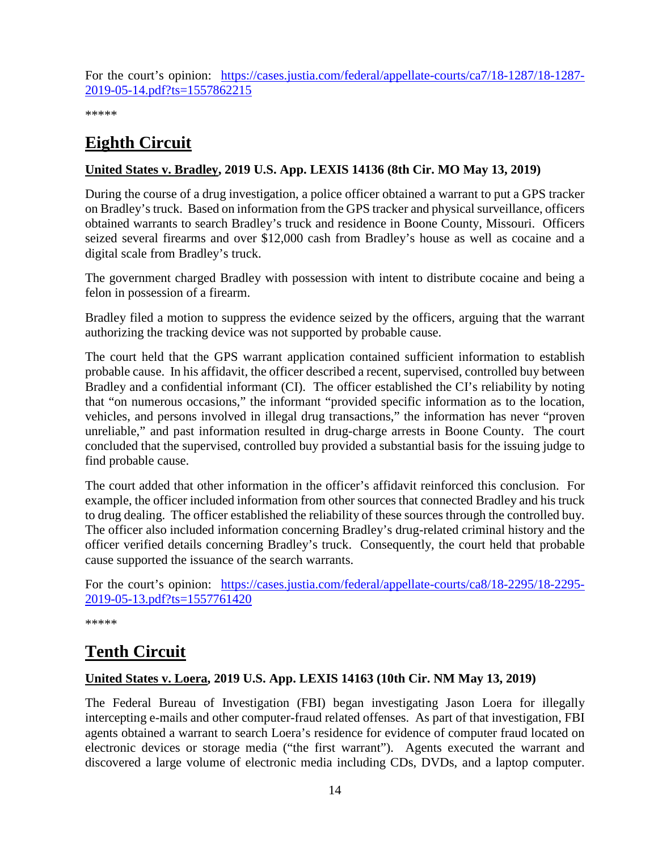For the court's opinion: [https://cases.justia.com/federal/appellate-courts/ca7/18-1287/18-1287-](https://cases.justia.com/federal/appellate-courts/ca7/18-1287/18-1287-2019-05-14.pdf?ts=1557862215) [2019-05-14.pdf?ts=1557862215](https://cases.justia.com/federal/appellate-courts/ca7/18-1287/18-1287-2019-05-14.pdf?ts=1557862215)

\*\*\*\*\*

## <span id="page-13-0"></span>**Eighth Circuit**

### <span id="page-13-1"></span>**United States v. Bradley, 2019 U.S. App. LEXIS 14136 (8th Cir. MO May 13, 2019)**

During the course of a drug investigation, a police officer obtained a warrant to put a GPS tracker on Bradley's truck. Based on information from the GPS tracker and physical surveillance, officers obtained warrants to search Bradley's truck and residence in Boone County, Missouri. Officers seized several firearms and over \$12,000 cash from Bradley's house as well as cocaine and a digital scale from Bradley's truck.

The government charged Bradley with possession with intent to distribute cocaine and being a felon in possession of a firearm.

Bradley filed a motion to suppress the evidence seized by the officers, arguing that the warrant authorizing the tracking device was not supported by probable cause.

The court held that the GPS warrant application contained sufficient information to establish probable cause. In his affidavit, the officer described a recent, supervised, controlled buy between Bradley and a confidential informant (CI). The officer established the CI's reliability by noting that "on numerous occasions," the informant "provided specific information as to the location, vehicles, and persons involved in illegal drug transactions," the information has never "proven unreliable," and past information resulted in drug-charge arrests in Boone County. The court concluded that the supervised, controlled buy provided a substantial basis for the issuing judge to find probable cause.

The court added that other information in the officer's affidavit reinforced this conclusion. For example, the officer included information from other sources that connected Bradley and his truck to drug dealing. The officer established the reliability of these sources through the controlled buy. The officer also included information concerning Bradley's drug-related criminal history and the officer verified details concerning Bradley's truck. Consequently, the court held that probable cause supported the issuance of the search warrants.

For the court's opinion: [https://cases.justia.com/federal/appellate-courts/ca8/18-2295/18-2295-](https://cases.justia.com/federal/appellate-courts/ca8/18-2295/18-2295-2019-05-13.pdf?ts=1557761420) [2019-05-13.pdf?ts=1557761420](https://cases.justia.com/federal/appellate-courts/ca8/18-2295/18-2295-2019-05-13.pdf?ts=1557761420)

\*\*\*\*\*

### <span id="page-13-2"></span>**Tenth Circuit**

### <span id="page-13-3"></span>**United States v. Loera, 2019 U.S. App. LEXIS 14163 (10th Cir. NM May 13, 2019)**

The Federal Bureau of Investigation (FBI) began investigating Jason Loera for illegally intercepting e-mails and other computer-fraud related offenses. As part of that investigation, FBI agents obtained a warrant to search Loera's residence for evidence of computer fraud located on electronic devices or storage media ("the first warrant"). Agents executed the warrant and discovered a large volume of electronic media including CDs, DVDs, and a laptop computer.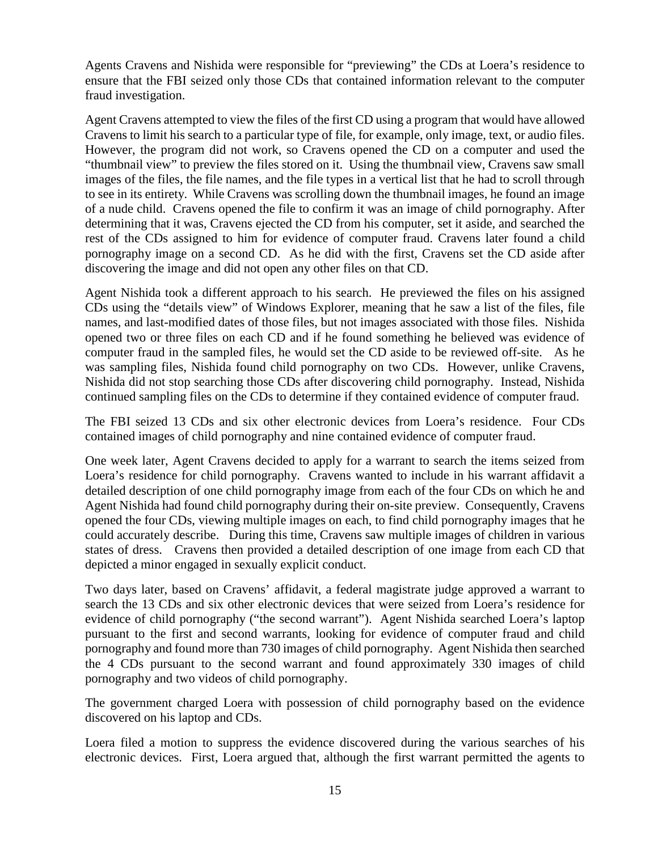Agents Cravens and Nishida were responsible for "previewing" the CDs at Loera's residence to ensure that the FBI seized only those CDs that contained information relevant to the computer fraud investigation.

Agent Cravens attempted to view the files of the first CD using a program that would have allowed Cravens to limit his search to a particular type of file, for example, only image, text, or audio files. However, the program did not work, so Cravens opened the CD on a computer and used the "thumbnail view" to preview the files stored on it. Using the thumbnail view, Cravens saw small images of the files, the file names, and the file types in a vertical list that he had to scroll through to see in its entirety. While Cravens was scrolling down the thumbnail images, he found an image of a nude child. Cravens opened the file to confirm it was an image of child pornography. After determining that it was, Cravens ejected the CD from his computer, set it aside, and searched the rest of the CDs assigned to him for evidence of computer fraud. Cravens later found a child pornography image on a second CD. As he did with the first, Cravens set the CD aside after discovering the image and did not open any other files on that CD.

Agent Nishida took a different approach to his search. He previewed the files on his assigned CDs using the "details view" of Windows Explorer, meaning that he saw a list of the files, file names, and last-modified dates of those files, but not images associated with those files. Nishida opened two or three files on each CD and if he found something he believed was evidence of computer fraud in the sampled files, he would set the CD aside to be reviewed off-site. As he was sampling files, Nishida found child pornography on two CDs. However, unlike Cravens, Nishida did not stop searching those CDs after discovering child pornography. Instead, Nishida continued sampling files on the CDs to determine if they contained evidence of computer fraud.

The FBI seized 13 CDs and six other electronic devices from Loera's residence. Four CDs contained images of child pornography and nine contained evidence of computer fraud.

One week later, Agent Cravens decided to apply for a warrant to search the items seized from Loera's residence for child pornography. Cravens wanted to include in his warrant affidavit a detailed description of one child pornography image from each of the four CDs on which he and Agent Nishida had found child pornography during their on-site preview. Consequently, Cravens opened the four CDs, viewing multiple images on each, to find child pornography images that he could accurately describe. During this time, Cravens saw multiple images of children in various states of dress. Cravens then provided a detailed description of one image from each CD that depicted a minor engaged in sexually explicit conduct.

Two days later, based on Cravens' affidavit, a federal magistrate judge approved a warrant to search the 13 CDs and six other electronic devices that were seized from Loera's residence for evidence of child pornography ("the second warrant"). Agent Nishida searched Loera's laptop pursuant to the first and second warrants, looking for evidence of computer fraud and child pornography and found more than 730 images of child pornography. Agent Nishida then searched the 4 CDs pursuant to the second warrant and found approximately 330 images of child pornography and two videos of child pornography.

The government charged Loera with possession of child pornography based on the evidence discovered on his laptop and CDs.

Loera filed a motion to suppress the evidence discovered during the various searches of his electronic devices. First, Loera argued that, although the first warrant permitted the agents to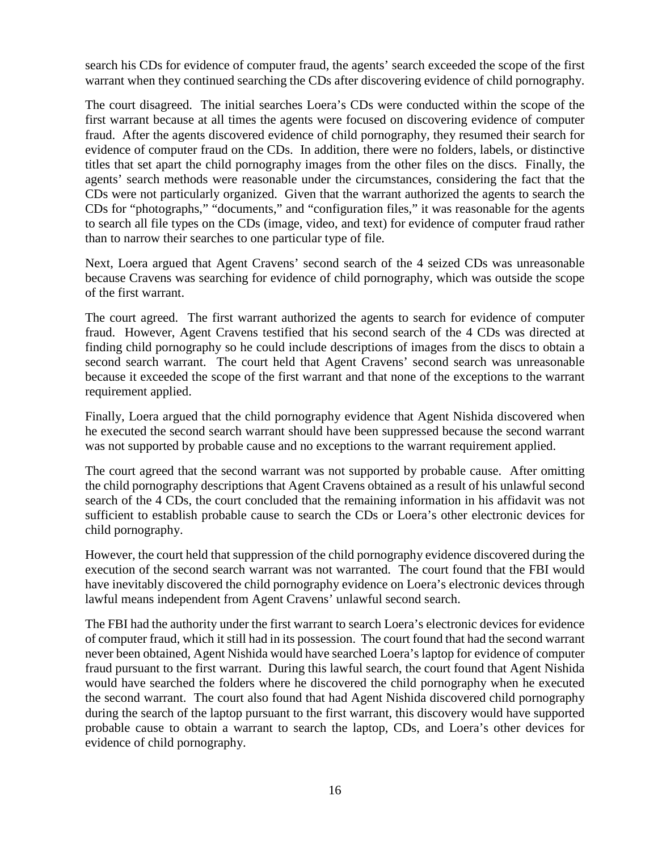search his CDs for evidence of computer fraud, the agents' search exceeded the scope of the first warrant when they continued searching the CDs after discovering evidence of child pornography.

The court disagreed. The initial searches Loera's CDs were conducted within the scope of the first warrant because at all times the agents were focused on discovering evidence of computer fraud. After the agents discovered evidence of child pornography, they resumed their search for evidence of computer fraud on the CDs. In addition, there were no folders, labels, or distinctive titles that set apart the child pornography images from the other files on the discs. Finally, the agents' search methods were reasonable under the circumstances, considering the fact that the CDs were not particularly organized. Given that the warrant authorized the agents to search the CDs for "photographs," "documents," and "configuration files," it was reasonable for the agents to search all file types on the CDs (image, video, and text) for evidence of computer fraud rather than to narrow their searches to one particular type of file.

Next, Loera argued that Agent Cravens' second search of the 4 seized CDs was unreasonable because Cravens was searching for evidence of child pornography, which was outside the scope of the first warrant.

The court agreed. The first warrant authorized the agents to search for evidence of computer fraud. However, Agent Cravens testified that his second search of the 4 CDs was directed at finding child pornography so he could include descriptions of images from the discs to obtain a second search warrant. The court held that Agent Cravens' second search was unreasonable because it exceeded the scope of the first warrant and that none of the exceptions to the warrant requirement applied.

Finally, Loera argued that the child pornography evidence that Agent Nishida discovered when he executed the second search warrant should have been suppressed because the second warrant was not supported by probable cause and no exceptions to the warrant requirement applied.

The court agreed that the second warrant was not supported by probable cause. After omitting the child pornography descriptions that Agent Cravens obtained as a result of his unlawful second search of the 4 CDs, the court concluded that the remaining information in his affidavit was not sufficient to establish probable cause to search the CDs or Loera's other electronic devices for child pornography.

However, the court held that suppression of the child pornography evidence discovered during the execution of the second search warrant was not warranted. The court found that the FBI would have inevitably discovered the child pornography evidence on Loera's electronic devices through lawful means independent from Agent Cravens' unlawful second search.

The FBI had the authority under the first warrant to search Loera's electronic devices for evidence of computer fraud, which it still had in its possession. The court found that had the second warrant never been obtained, Agent Nishida would have searched Loera's laptop for evidence of computer fraud pursuant to the first warrant. During this lawful search, the court found that Agent Nishida would have searched the folders where he discovered the child pornography when he executed the second warrant. The court also found that had Agent Nishida discovered child pornography during the search of the laptop pursuant to the first warrant, this discovery would have supported probable cause to obtain a warrant to search the laptop, CDs, and Loera's other devices for evidence of child pornography.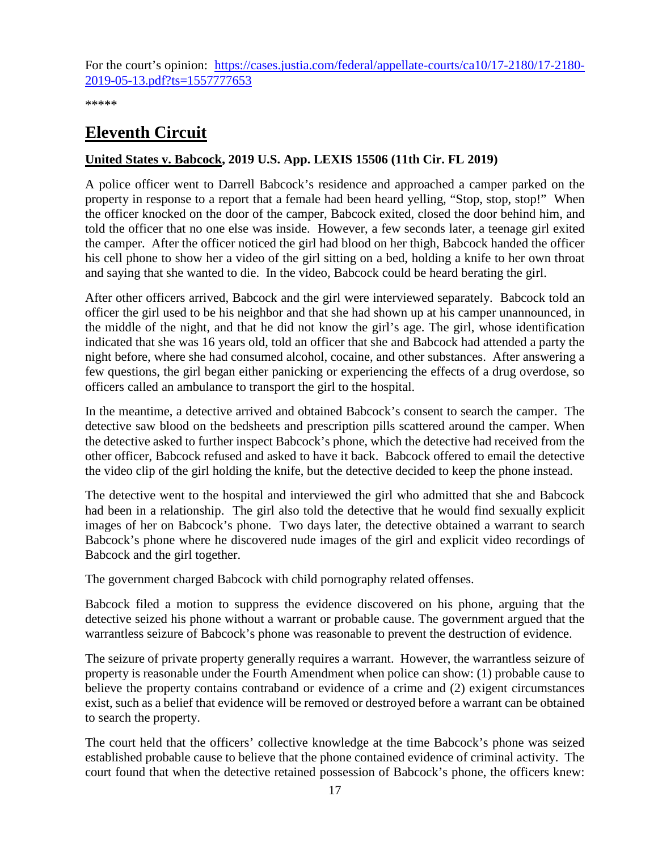For the court's opinion: [https://cases.justia.com/federal/appellate-courts/ca10/17-2180/17-2180-](https://cases.justia.com/federal/appellate-courts/ca10/17-2180/17-2180-2019-05-13.pdf?ts=1557777653) [2019-05-13.pdf?ts=1557777653](https://cases.justia.com/federal/appellate-courts/ca10/17-2180/17-2180-2019-05-13.pdf?ts=1557777653)

\*\*\*\*\*

### <span id="page-16-0"></span>**Eleventh Circuit**

### <span id="page-16-1"></span>**United States v. Babcock, 2019 U.S. App. LEXIS 15506 (11th Cir. FL 2019)**

A police officer went to Darrell Babcock's residence and approached a camper parked on the property in response to a report that a female had been heard yelling, "Stop, stop, stop!" When the officer knocked on the door of the camper, Babcock exited, closed the door behind him, and told the officer that no one else was inside. However, a few seconds later, a teenage girl exited the camper. After the officer noticed the girl had blood on her thigh, Babcock handed the officer his cell phone to show her a video of the girl sitting on a bed, holding a knife to her own throat and saying that she wanted to die. In the video, Babcock could be heard berating the girl.

After other officers arrived, Babcock and the girl were interviewed separately. Babcock told an officer the girl used to be his neighbor and that she had shown up at his camper unannounced, in the middle of the night, and that he did not know the girl's age. The girl, whose identification indicated that she was 16 years old, told an officer that she and Babcock had attended a party the night before, where she had consumed alcohol, cocaine, and other substances. After answering a few questions, the girl began either panicking or experiencing the effects of a drug overdose, so officers called an ambulance to transport the girl to the hospital.

In the meantime, a detective arrived and obtained Babcock's consent to search the camper. The detective saw blood on the bedsheets and prescription pills scattered around the camper. When the detective asked to further inspect Babcock's phone, which the detective had received from the other officer, Babcock refused and asked to have it back. Babcock offered to email the detective the video clip of the girl holding the knife, but the detective decided to keep the phone instead.

The detective went to the hospital and interviewed the girl who admitted that she and Babcock had been in a relationship. The girl also told the detective that he would find sexually explicit images of her on Babcock's phone. Two days later, the detective obtained a warrant to search Babcock's phone where he discovered nude images of the girl and explicit video recordings of Babcock and the girl together.

The government charged Babcock with child pornography related offenses.

Babcock filed a motion to suppress the evidence discovered on his phone, arguing that the detective seized his phone without a warrant or probable cause. The government argued that the warrantless seizure of Babcock's phone was reasonable to prevent the destruction of evidence.

The seizure of private property generally requires a warrant. However, the warrantless seizure of property is reasonable under the Fourth Amendment when police can show: (1) probable cause to believe the property contains contraband or evidence of a crime and (2) exigent circumstances exist, such as a belief that evidence will be removed or destroyed before a warrant can be obtained to search the property.

The court held that the officers' collective knowledge at the time Babcock's phone was seized established probable cause to believe that the phone contained evidence of criminal activity. The court found that when the detective retained possession of Babcock's phone, the officers knew: